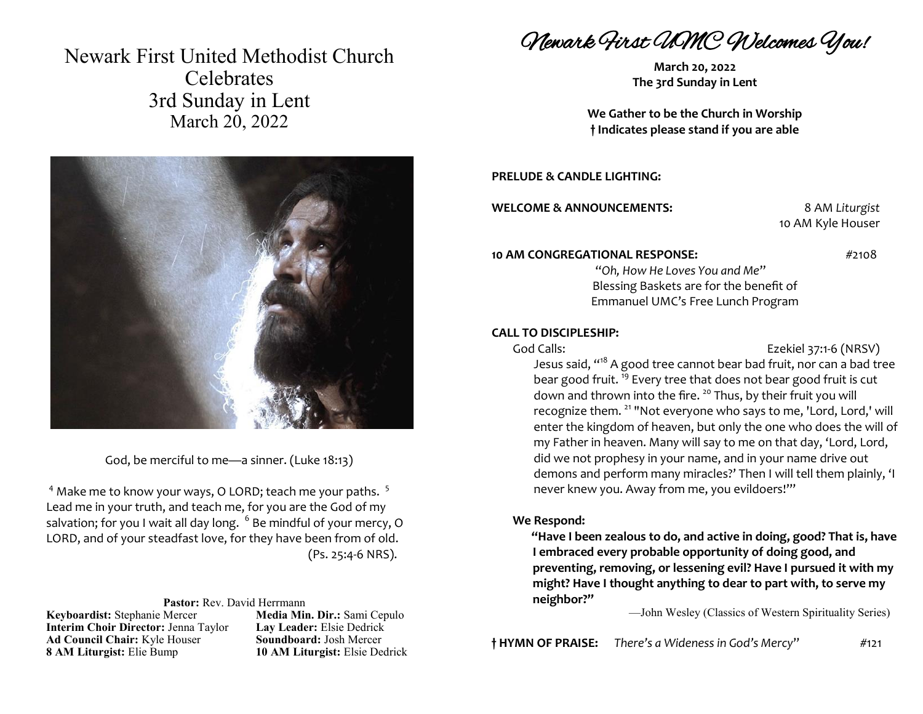Newark First United Methodist Church **Celebrates** 3rd Sunday in Lent March 20, 2022



God, be merciful to me—a sinner. (Luke 18:13)

 $4$  Make me to know your ways, O LORD; teach me your paths.  $5$ Lead me in your truth, and teach me, for you are the God of my salvation; for you I wait all day long.  $\,^6$  Be mindful of your mercy, O LORD, and of your steadfast love, for they have been from of old. (Ps. 25:4-6 NRS).

#### **Pastor:** Rev. David Herrmann

**Keyboardist:** Stephanie Mercer **Media Min. Dir.:** Sami Cepulo **Interim Choir Director:** Jenna Taylor **Lay Leader:** Elsie Dedrick **Ad Council Chair:** Kyle Houser **Soundboard:** Josh Mercer **8 AM Liturgist:** Elie Bump **10 AM Liturgist:** Elsie Dedrick

Newark First UMC Welcomes You!

**March 20, 2022 The 3rd Sunday in Lent**

**We Gather to be the Church in Worship † Indicates please stand if you are able**

### **PRELUDE & CANDLE LIGHTING:**

**WELCOME & ANNOUNCEMENTS:** 8 AM *Liturgist*

10 AM Kyle Houser

#### **10 AM CONGREGATIONAL RESPONSE:**  $\frac{47108}{2108}$

"*Oh, How He Loves You and Me*" Blessing Baskets are for the benefit of Emmanuel UMC's Free Lunch Program

### **CALL TO DISCIPLESHIP:**

God Calls: Ezekiel 37:1-6 (NRSV)

Jesus said, "<sup>18</sup> A good tree cannot bear bad fruit, nor can a bad tree bear good fruit. <sup>19</sup> Every tree that does not bear good fruit is cut down and thrown into the fire.<sup>20</sup> Thus, by their fruit you will recognize them. <sup>21</sup> "Not everyone who says to me, 'Lord, Lord,' will enter the kingdom of heaven, but only the one who does the will of my Father in heaven. Many will say to me on that day, 'Lord, Lord, did we not prophesy in your name, and in your name drive out demons and perform many miracles?' Then I will tell them plainly, 'I never knew you. Away from me, you evildoers!'"

### **We Respond:**

**"Have I been zealous to do, and active in doing, good? That is, have I embraced every probable opportunity of doing good, and preventing, removing, or lessening evil? Have I pursued it with my might? Have I thought anything to dear to part with, to serve my neighbor?"**

—John Wesley (Classics of Western Spirituality Series)

**† HYMN OF PRAISE:** *There's a Wideness in God's Mercy*" #121